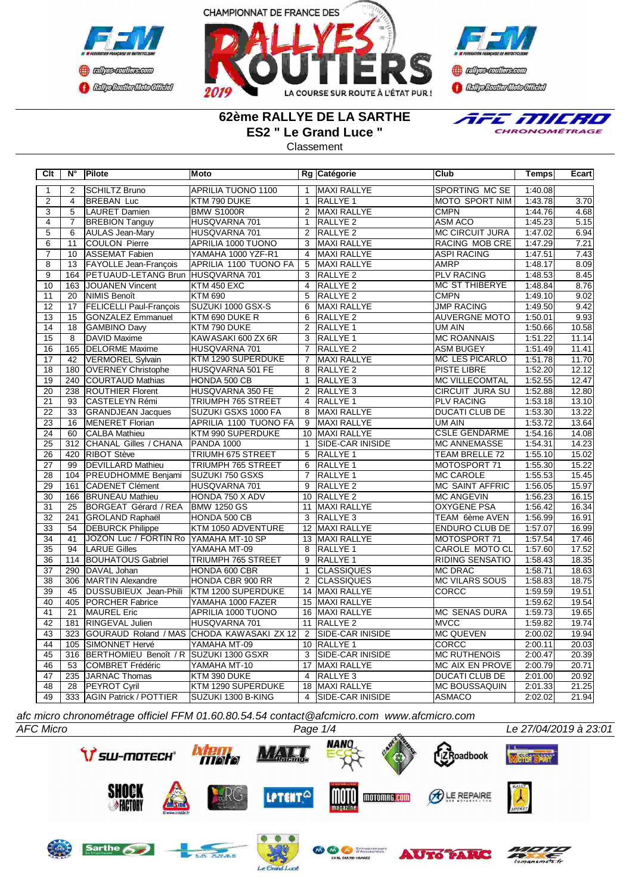



**B** refires renthas com **BEDplomerMoto Citeby** 

### **62ème RALLYE DE LA SARTHE ES2 " Le Grand Luce "**

**Classement** 



**Clt N° Pilote Moto Rg Catégorie Club Temps Ecart** 2 SCHILTZ Bruno APRILIA TUONO 1100 | 1 MAXI RALLYE | SPORTING MC SE | 1:40.08 2 4 BREBAN Luc KTM 790 DUKE 1 RALLYE 1 MOTO SPORT NIM 1:43.78 3.70 3 5 LAURET Damien BMW S1000R 2 MAXI RALLYE CMPN 1:44.76 4.68 4 7 BREBION Tanguy HUSQVARNA 701 | 1 RALLYE 2 ASM ACO | 1:45.23 5.15 5 6 AULAS Jean-Mary HUSQVARNA 701 2 RALLYE 2 MC CIRCUIT JURA 1:47.02 6.94 6 | 11 COULON Pierre | APRILIA 1000 TUONO | 3 MAXI RALLYE | RACING MOB CRE | 1:47.29 7.21 7 10 ASSEMAT Fabien YAMAHA 1000 YZF-R1 4 MAXI RALLYE ASPI RACING 1:47.51 7.43 8 13 FAYOLLE Jean-François APRILIA 1100 TUONO FA 5 MAXI RALLYE AMRP 1:48.17 1:48.17 8.09<br>164 PETUAUD-LETANG Brun HUSQVARNA 701 3 RALLYE 2 PLV RACING 1:48.53 8.45 PETUAUD-LETANG Brun HUSQVARNA 701 3 RALLYE 2 PLV RACING PLV RACING<br>JOUANEN Vincent KTM 450 EXC 4 RALLYE 2 MC ST THIBERYE 10 163 JOUANEN Vincent KTM 450 EXC 4 RALLYE 2 MC ST THIBERYE 1:48.84 8.76<br>11 20 NIMIS Benoît KTM 690 5 RALLYE 2 CMPN 1:49.10 9.02 11 | 20 |NIMIS Benoît |KTM 690 | 5 |RALLYE 2 |CMPN | 1:49.10 | 9.02 12 17 FELICELLI Paul-François SUZUKI 1000 GSX-S 6 MAXI RALLYE JUMP RACING 1:49.50 9.42<br>13 15 GONZALEZ Emmanuel KTM 690 DUKE R 6 RALLYE 2 40 AUVERGNE MOTO 1:50.01 9.93 13 15 GONZALEZ Emmanuel KTM 690 DUKE R 6 RALLYE 2 14 | 18 GAMBINO Davy | KTM 790 DUKE | 2 RALLYE 1 | 2 WI AIN | 1:50.66 | 10.58 15 8 DAVID Maxime KAWASAKI 600 ZX 6R 3 RALLYE 1 MC ROANNAIS 1:51.22 11.14 16 165 DELORME Maxime HUSQVARNA 701 7 RALLYE 2 ASM BUGEY 1:51.49 11.41 1.41<br>17 42 VERMOREL Sylvain KTM 1290 SUPERDUKE 7 MAXI RALLYE MC LES PICARLO 1:51.78 11.70 17 42 VERMOREL Sylvain KTM 1290 SUPERDUKE 7 MAXI RALLYE MC LES PICARLO 1:51.78 11.70<br>18 180 OVERNEY Christophe HUSQVARNA 501 FE 8 RALLYE 2 PISTE LIBRE 1:52.20 12.12 18 180 OVERNEY Christophe HUSQVARNA 501 FE 8 RALLYE 2 PISTE LIBRE 1:52.20 12.12 19 240 COURTAUD Mathias HONDA 500 CB 1 RALLYE 3 MC VILLECOMTAL 1:52.55 12.47<br>20 238 ROUTHIER Florent HUSQVARNA 350 FE 2 RALLYE 3 CIRCUIT JURA SU 1:52.88 12.80 20 238 ROUTHIER Florent HUSQVARNA 350 FE 2 RALLYE 3 CIRCUIT JURA SU 1:52.88 12.80<br>23 CASTELEYN Rémi TRIUMPH 765 STREET 4 RALLYE 1 PLV RACING 1:53.18 13.10 21 93 CASTELEYN Rémi TRIUMPH 765 STREET 4 RALLYE 1 PLV RACING 1:53.18 13.10<br>22 33 GRANDJEAN Jacques SUZUKI GSXS 1000 FA 8 MAXI RALLYE DUCATI CLUB DE 1:53.30 13.22 22 33 GRANDJEAN Jacques SUZUKI GSXS 1000 FA 8 MAXI RALLYE DUCATI CLUB DE 1:53.30 23 16 MENERET Florian APRILIA 1100 TUONO FA 9 MAXI RALLYE UM AIN 1:53.72 13.64<br>24 60 CALBA Mathieu KTM 990 SUPERDUKE 10 MAXI RALLYE CSLE GENDARME 1:54.16 14.08 24 60 CALBA Mathieu KTM 990 SUPERDUKE 10 MAXI RALLYE CSLE GENDARME 1:54.16 14.08 25 312 CHANAL Gilles / CHANA PANDA 1000 1 SIDE-CAR INISIDE MC ANNEMASSE 1:54.31 14.23<br>26 420 RIBOT Stève TRIUMH 675 STREET 5 RALLYE 1 1 TEAM BRELLE 72 1:55.10 15.02 **20 RIBOT Stève TRIUMH 675 STREET** 5 27 99 DEVILLARD Mathieu TRIUMPH 765 STREET 6 RALLYE 1 MOTOSPORT 71 1:55.30 15.22<br>28 104 PREUDHOMME Benjami SUZUKI 750 GSXS 7 RALLYE 1 MC CAROLE 1:55.53 15.45 28 104 PREUDHOMME Benjami SUZUKI 750 GSXS 7 RALLYE 1 MC CAROLE 1:55.53 15.45<br>29 161 CADENET Clément HUSQVARNA 701 9 RALLYE 2 MC SAINT AFFRIC 1:56.05 15.97 29 161 CADENET Clément HUSQVARNA 701 9 RALLYE 2 MC SAINT AFFRIC 1:56.05 15.97 30 166 BRUNEAU Mathieu HONDA 750 X ADV 10 RALLYE 2 MC ANGEVIN 1:56.23 16.15 31 25 BORGEAT Gérard / REA BMW 1250 GS 11 MAXI RALLYE **OXYGENE PSA** 1:56.42 16.34 32 241 GROLAND Raphaël HONDA 500 CB 3 RALLYE 3 TEAM 6ème AVEN 1:56.99 16.91<br>33 54 DEBURCK Philippe KTM 1050 ADVENTURE 12 MAXI RALLYE ENDURO CLUB DE 1:57.07 16.99 **KTM 1050 ADVENTURE** 34 | 41 | JOZON Luc / FORTIN Ro YAMAHA MT-10 SP | 13 | MAXI RALLYE | MOTOSPORT 71 | 1:57.54 | 17.46 35 94 LARUE Gilles YAMAHA MT-09 8 RALLYE 1 CAROLE MOTO CL 1:57.60 17.52 36 114 BOUHATOUS Gabriel TRIUMPH 765 STREET 9 RALLYE 1 RIDING SENSATIO 1:58.43 18.35 37 | 290 |DAVAL Johan |HONDA 600 CBR | 1 |CLASSIQUES MC DRAC 1:58.71 | 18.63 38 306 MARTIN Alexandre HONDA CBR 900 RR 2 CLASSIQUES MC VILARS SOUS 1:58.83 18.75<br>39 45 DUSSUBIEUX Jean-Phili KTM 1200 SUPERDUKE 14 MAXI RALLYE CORCC 11:59.59 19.51 39 45 DUSSUBIEUX Jean-Phili KTM 1200 SUPERDUKE 14 MAXI RALLYE CORCC 1:59.59 19.51 19.51 40 405 PORCHER Fabrice WAMAHA 1000 FAZER 15 MAXI RALLYE 11.59 1998 1998 1998 1998 1999 11:59.62 19.54 19.54 1<br>41 21 MAUREL Eric 41 APRILIA 1000 TUONO 16 MAXI RALLYE 11 MC SENAS DURA 1:59.73 19.65 41 21 MAUREL Eric APRILIA 1000 TUONO 16 MAXI RALLYE MC SENAS DURA 1:59.73 19.65 42 181 RINGEVAL Julien HUSQVARNA 701 11 RALLYE 2 MVCC 1:59.82 19.74 43 323 GOURAUD Roland / MAS CHODA KAWASAKI ZX 12 2 SIDE-CAR INISIDE MC QUEVEN 2:00.02 19.94<br>44 105 SIMONNET Hervé YAMAHA MT-09 10 RALLYE 1 CORCC 2:00.11 20.03 44 105 SIMONNET Hervé YAMAHA MT-09 10 RALLYE 1 CORCC 2:00.11 20.03 45 316 BERTHOMIEU Benoît / R SUZUKI 1300 GSXR 3 SIDE-CAR INISIDE MC RUTHENOIS 2:00.47 20.39<br>46 53 COMBRET Frédéric YAMAHA MT-10 17 MAXI RALLYE MC AIX EN PROVE 2:00.79 20.71 46 53 COMBRET Frédéric 47 235 JARNAC Thomas KTM 390 DUKE 4 RALLYE 3 DUCATI CLUB DE 2:01.00 20.92<br>48 28 PEYROT Cyril KTM 1290 SUPERDUKE 18 MAXI RALLYE MC BOUSSAQUIN 2:01.33 21.25 48 28 PEYROT Cyril KTM 1290 SUPERDUKE 18 MAXI RALLYE MC BOUSSAQUIN 2:01.33 21.25 49 333 AGIN Patrick / POTTIER SUZUKI 1300 B-KING 4 SIDE-CAR INISIDE ASMACO 2:02.02 21.94

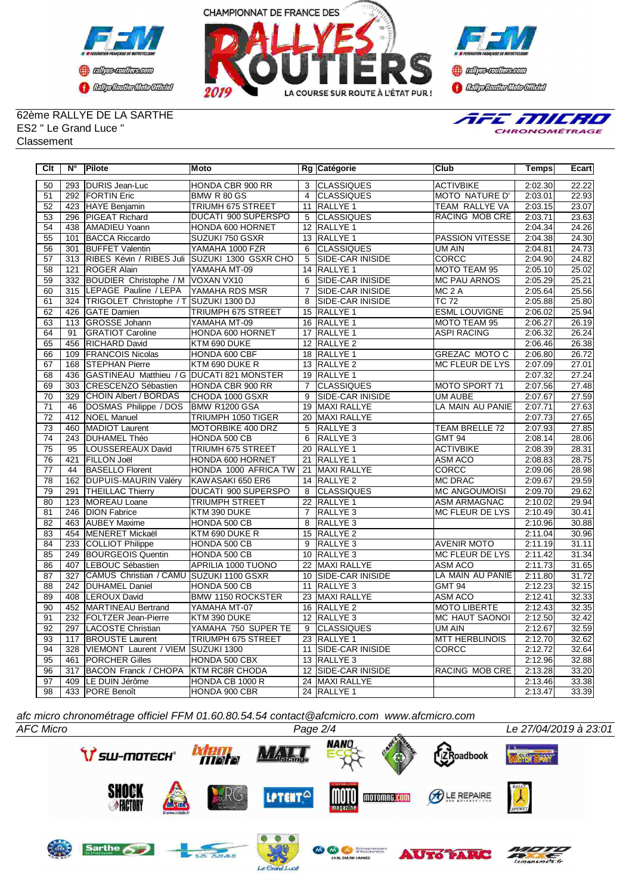



**Confederation Complementation** 

### 62ème RALLYE DE LA SARTHE ES2 " Le Grand Luce " Classement



| Clt             | $N^{\circ}$      | Pilote                             | Moto                      |                 | Rg Catégorie            | Club                   | Temps   | Ecart |
|-----------------|------------------|------------------------------------|---------------------------|-----------------|-------------------------|------------------------|---------|-------|
| 50              | 293              | DURIS Jean-Luc                     | HONDA CBR 900 RR          |                 | 3 CLASSIQUES            | <b>ACTIVBIKE</b>       | 2:02.30 | 22.22 |
| 51              |                  | 292 FORTIN Eric                    | BMW R 80 GS               | $\overline{4}$  | <b>CLASSIQUES</b>       | MOTO NATURE D'         | 2:03.01 | 22.93 |
| 52              |                  | 423 HAYE Benjamin                  | TRIUMH 675 STREET         |                 | 11 RALLYE 1             | TEAM RALLYE VA         | 2:03.15 | 23.07 |
| 53              |                  | 296 PIGEAT Richard                 | DUCATI 900 SUPERSPO       | 5               | <b>CLASSIQUES</b>       | RACING MOB CRE         | 2:03.71 | 23.63 |
| $\overline{54}$ | 438              | AMADIEU Yoann                      | HONDA 600 HORNET          |                 | 12 RALLYE 1             |                        | 2:04.34 | 24.26 |
| $\overline{55}$ | 101              | <b>BACCA Riccardo</b>              | SUZUKI 750 GSXR           |                 | 13 RALLYE 1             | PASSION VITESSE        | 2:04.38 | 24.30 |
| 56              | 301              | <b>BUFFET Valentin</b>             | YAMAHA 1000 FZR           | 6               | <b>CLASSIQUES</b>       | UM AIN                 | 2:04.81 | 24.73 |
| 57              | $\overline{313}$ | RIBES Kévin / RIBES Juli           | SUZUKI 1300 GSXR CHO      | $\overline{5}$  | <b>SIDE-CAR INISIDE</b> | <b>CORCC</b>           | 2:04.90 | 24.82 |
| $\overline{58}$ | 121              | <b>ROGER Alain</b>                 | YAMAHA MT-09              |                 | 14 RALLYE 1             | <b>MOTO TEAM 95</b>    | 2:05.10 | 25.02 |
| 59              | 332              | BOUDIER Christophe / M VOXAN VX10  |                           | 6               | <b>SIDE-CAR INISIDE</b> | <b>MC PAU ARNOS</b>    | 2:05.29 | 25.21 |
| 60              | 315              | LEPAGE Pauline / LEPA              | YAMAHA RDS MSR            | $\overline{7}$  | <b>SIDE-CAR INISIDE</b> | MC <sub>2</sub> A      | 2:05.64 | 25.56 |
| 61              | 324              | TRIGOLET Christophe / T            | SUZUKI 1300 DJ            | 8               | <b>SIDE-CAR INISIDE</b> | <b>TC 72</b>           | 2:05.88 | 25.80 |
| 62              | 426              | <b>GATE Damien</b>                 | TRIUMPH 675 STREET        |                 | 15 RALLYE 1             | <b>ESML LOUVIGNE</b>   | 2:06.02 | 25.94 |
| 63              | 113              | <b>GROSSE Johann</b>               | YAMAHA MT-09              |                 | 16 RALLYE 1             | MOTO TEAM 95           | 2:06.27 | 26.19 |
| 64              | 91               | <b>GRATIOT Caroline</b>            | HONDA 600 HORNET          |                 | 17 RALLYE 1             | <b>ASPI RACING</b>     | 2:06.32 | 26.24 |
| 65              | 456              | RICHARD David                      | KTM 690 DUKE              |                 | 12 RALLYE 2             |                        | 2:06.46 | 26.38 |
| 66              | 109              | <b>FRANCOIS Nicolas</b>            | HONDA 600 CBF             |                 | 18 RALLYE 1             | <b>GREZAC MOTO C</b>   | 2:06.80 | 26.72 |
| 67              | 168              | <b>STEPHAN Pierre</b>              | KTM 690 DUKE R            |                 | 13 RALLYE 2             | <b>MC FLEUR DE LYS</b> | 2:07.09 | 27.01 |
| 68              | 436              | GASTINEAU Matthieu / G             | <b>DUCATI 821 MONSTER</b> |                 | 19 RALLYE 1             |                        | 2:07.32 | 27.24 |
| 69              | 303              | <b>CRESCENZO Sébastien</b>         | HONDA CBR 900 RR          | $\overline{7}$  | <b>CLASSIQUES</b>       | MOTO SPORT 71          | 2:07.56 | 27.48 |
| 70              | 329              | CHOIN Albert / BORDAS              | CHODA 1000 GSXR           | 9               | SIDE-CAR INISIDE        | UM AUBE                | 2:07.67 | 27.59 |
| 71              | 46               | DOSMAS Philippe / DOS              | BMW R1200 GSA             | 19              | MAXI RALLYE             | LA MAIN AU PANIE       | 2:07.71 | 27.63 |
| $\overline{72}$ | 412              | <b>NOEL Manuel</b>                 | <b>TRIUMPH 1050 TIGER</b> | 20              | MAXI RALLYE             |                        | 2:07.73 | 27.65 |
| 73              | 460              | <b>MADIOT Laurent</b>              | MOTORBIKE 400 DRZ         | 5               | <b>RALLYE 3</b>         | TEAM BRELLE 72         | 2:07.93 | 27.85 |
| $\overline{74}$ | 243              | <b>DUHAMEL Théo</b>                | HONDA 500 CB              | 6               | RALLYE <sub>3</sub>     | <b>GMT 94</b>          | 2:08.14 | 28.06 |
| 75              | 95               | LOUSSEREAUX David                  | TRIUMH 675 STREET         |                 | 20 RALLYE 1             | <b>ACTIVBIKE</b>       | 2:08.39 | 28.31 |
| 76              | 421              | <b>FILLON Joël</b>                 | HONDA 600 HORNET          | 21              | <b>RALLYE 1</b>         | <b>ASM ACO</b>         | 2:08.83 | 28.75 |
| $\overline{77}$ | 44               | <b>BASELLO Florent</b>             | HONDA 1000 AFRICA TW      |                 | 21 MAXI RALLYE          | <b>CORCC</b>           | 2:09.06 | 28.98 |
| 78              | 162              | <b>DUPUIS-MAURIN Valéry</b>        | KAWASAKI 650 ER6          |                 | 14 RALLYE 2             | <b>MC DRAC</b>         | 2:09.67 | 29.59 |
| 79              | 291              | <b>THEILLAC Thierry</b>            | DUCATI 900 SUPERSPO       | 8               | <b>CLASSIQUES</b>       | <b>MC ANGOUMOISI</b>   | 2:09.70 | 29.62 |
| 80              | 123              | <b>MOREAU Loane</b>                | <b>TRIUMPH STREET</b>     |                 | 22 RALLYE 1             | <b>ASM ARMAGNAC</b>    | 2:10.02 | 29.94 |
| 81              | 246              | <b>DION Fabrice</b>                | KTM 390 DUKE              | $\overline{7}$  | <b>RALLYE 3</b>         | <b>MC FLEUR DE LYS</b> | 2:10.49 | 30.41 |
| 82              | 463              | AUBEY Maxime                       | HONDA 500 CB              | 8               | RALLYE <sub>3</sub>     |                        | 2:10.96 | 30.88 |
| 83              | 454              | MENERET Mickaël                    | KTM 690 DUKE R            | 15              | RALLYE <sub>2</sub>     |                        | 2:11.04 | 30.96 |
| 84              | 233              | COLLIOT Philippe                   | HONDA 500 CB              | 9               | RALLYE <sub>3</sub>     | <b>AVENIR MOTO</b>     | 2:11.19 | 31.11 |
| 85              | 249              | <b>BOURGEOIS Quentin</b>           | HONDA 500 CB              |                 | 10 RALLYE 3             | <b>MC FLEUR DE LYS</b> | 2:11.42 | 31.34 |
| 86              | 407              | LEBOUC Sébastien                   | APRILIA 1000 TUONO        | 22              | MAXI RALLYE             | <b>ASM ACO</b>         | 2:11.73 | 31.65 |
| 87              | 327              | CAMUS Christian / CAMU             | SUZUKI 1100 GSXR          |                 | 10 SIDE-CAR INISIDE     | LA MAIN AU PANIE       | 2:11.80 | 31.72 |
| $\overline{88}$ | 242              | <b>DUHAMEL Daniel</b>              | HONDA 500 CB              |                 | 11 RALLYE 3             | <b>GMT 94</b>          | 2:12.23 | 32.15 |
| 89              |                  | 408 LEROUX David                   | <b>BMW 1150 ROCKSTER</b>  |                 | 23 MAXI RALLYE          | <b>ASM ACO</b>         | 2:12.41 | 32.33 |
| $\overline{90}$ | 452              | <b>MARTINEAU Bertrand</b>          | YAMAHA MT-07              |                 | 16 RALLYE 2             | <b>MOTO LIBERTE</b>    | 2:12.43 | 32.35 |
| $\overline{91}$ |                  | 232 FOLTZER Jean-Pierre            | KTM 390 DUKE              |                 | 12 RALLYE 3             | <b>MC HAUT SAONOI</b>  | 2:12.50 | 32.42 |
| 92              | 297              | LACOSTE Christian                  | YAMAHA 750 SUPER TE       | 9               | <b>CLASSIQUES</b>       | UM AIN                 | 2:12.67 | 32.59 |
| 93              | 117              | <b>BROUSTE Laurent</b>             | <b>TRIUMPH 675 STREET</b> |                 | 23 RALLYE 1             | <b>MTT HERBLINOIS</b>  | 2:12.70 | 32.62 |
| 94              | 328              | VIEMONT Laurent / VIEM SUZUKI 1300 |                           |                 | 11 SIDE-CAR INISIDE     | CORCC                  | 2:12.72 | 32.64 |
| $\overline{95}$ | 461              | <b>PORCHER Gilles</b>              | HONDA 500 CBX             |                 | 13 RALLYE 3             |                        | 2:12.96 | 32.88 |
| 96              | 317              | <b>BACON Franck / CHOPA</b>        | KTM RC8R CHODA            | $\overline{12}$ | <b>SIDE-CAR INISIDE</b> | <b>RACING MOB CRE</b>  | 2:13.28 | 33.20 |
| 97              | 409              | LE DUIN Jérôme                     | HONDA CB 1000 R           |                 | 24 MAXI RALLYE          |                        | 2:13.46 | 33.38 |
| 98              |                  | 433 PORE Benoît                    | HONDA 900 CBR             |                 | 24 RALLYE 1             |                        | 2:13.47 | 33.39 |

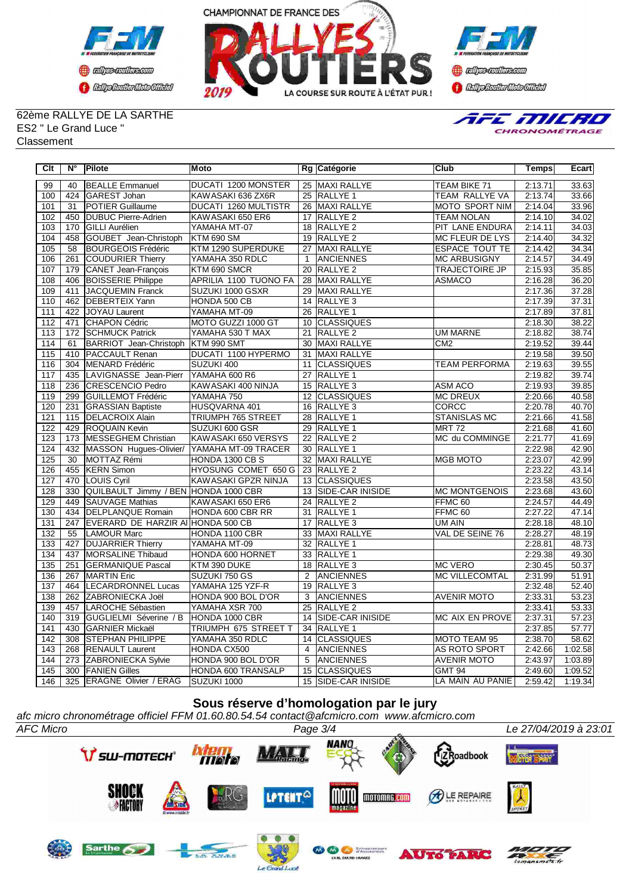



**Confederation CENTRAL MEDICATE** 

### 62ème RALLYE DE LA SARTHE ES2 " Le Grand Luce " Classement



| Clt              | N°  | <b>Pilote</b>                        | Moto                         |                 | Rg Catégorie        | Club                  | <b>Temps</b> | Ecart   |
|------------------|-----|--------------------------------------|------------------------------|-----------------|---------------------|-----------------------|--------------|---------|
| 99               | 40  | <b>BEALLE Emmanuel</b>               | DUCATI 1200 MONSTER          |                 | 25 MAXI RALLYE      | <b>TEAM BIKE 71</b>   | 2:13.71      | 33.63   |
| 100              | 424 | GAREST Johan                         | KAWASAKI 636 ZX6R            |                 | 25 RALLYE 1         | <b>TEAM RALLYE VA</b> | 2:13.74      | 33.66   |
| 101              | 31  | <b>POTIER Guillaume</b>              | <b>DUCATI 1260 MULTISTR</b>  |                 | 26 MAXI RALLYE      | <b>MOTO SPORT NIM</b> | 2:14.04      | 33.96   |
| 102              | 450 | <b>DUBUC Pierre-Adrien</b>           | KAWASAKI 650 ER6             |                 | 17 RALLYE 2         | <b>TEAM NOLAN</b>     | 2:14.10      | 34.02   |
| 103              | 170 | <b>GILLI Aurélien</b>                | YAMAHA MT-07                 |                 | 18 RALLYE 2         | PIT LANE ENDURA       | 2:14.11      | 34.03   |
| 104              | 458 | GOUBET Jean-Christoph                | <b>KTM 690 SM</b>            |                 | 19 RALLYE 2         | MC FLEUR DE LYS       | 2:14.40      | 34.32   |
| 105              | 58  | <b>BOURGEOIS Frédéric</b>            | KTM 1290 SUPERDUKE           | 27              | <b>MAXI RALLYE</b>  | <b>ESPACE TOUT TE</b> | 2:14.42      | 34.34   |
| 106              | 261 | COUDURIER Thierry                    | YAMAHA 350 RDLC              | $\mathbf{1}$    | <b>ANCIENNES</b>    | <b>MC ARBUSIGNY</b>   | 2:14.57      | 34.49   |
| 107              | 179 | CANET Jean-François                  | KTM 690 SMCR                 |                 | 20 RALLYE 2         | <b>TRAJECTOIRE JP</b> | 2:15.93      | 35.85   |
| 108              | 406 | <b>BOISSERIE Philippe</b>            | <b>APRILIA 1100 TUONO FA</b> |                 | 28 MAXI RALLYE      | <b>ASMACO</b>         | 2:16.28      | 36.20   |
| 109              | 411 | JACQUEMIN Franck                     | SUZUKI 1000 GSXR             |                 | 29 MAXI RALLYE      |                       | 2:17.36      | 37.28   |
| 110              | 462 | <b>DEBERTEIX Yann</b>                | HONDA 500 CB                 |                 | 14 RALLYE 3         |                       | 2:17.39      | 37.31   |
| 111              | 422 | JOYAU Laurent                        | YAMAHA MT-09                 | 26              | <b>RALLYE 1</b>     |                       | 2:17.89      | 37.81   |
| 112              | 471 | CHAPON Cédric                        | MOTO GUZZI 1000 GT           |                 | 10 CLASSIQUES       |                       | 2:18.30      | 38.22   |
| 113              | 172 | <b>SCHMUCK Patrick</b>               | YAMAHA 530 T MAX             | 21              | <b>RALLYE 2</b>     | <b>UM MARNE</b>       | 2:18.82      | 38.74   |
| 114              | 61  | BARRIOT Jean-Christoph               | KTM 990 SMT                  |                 | 30 MAXI RALLYE      | CM <sub>2</sub>       | 2:19.52      | 39.44   |
| 115              | 410 | <b>PACCAULT Renan</b>                | <b>DUCATI 1100 HYPERMO</b>   | 31              | MAXI RALLYE         |                       | 2:19.58      | 39.50   |
| 116              | 304 | MENARD Frédéric                      | SUZUKI 400                   | 11              | <b>CLASSIQUES</b>   | <b>TEAM PERFORMA</b>  | 2:19.63      | 39.55   |
| 117              | 435 | LAVIGNASSE Jean-Pierr                | YAMAHA 600 R6                | 27              | <b>RALLYE 1</b>     |                       | 2:19.82      | 39.74   |
| 118              | 236 | CRESCENCIO Pedro                     | KAWASAKI 400 NINJA           |                 | 15 RALLYE 3         | <b>ASM ACO</b>        | 2:19.93      | 39.85   |
| 119              | 299 | <b>GUILLEMOT Frédéric</b>            | YAMAHA 750                   | 12              | <b>CLASSIQUES</b>   | <b>MC DREUX</b>       | 2:20.66      | 40.58   |
| 120              | 231 | <b>GRASSIAN Baptiste</b>             | HUSQVARNA 401                | 16              | RALLYE <sub>3</sub> | <b>CORCC</b>          | 2:20.78      | 40.70   |
| $\overline{121}$ | 115 | <b>DELACROIX Alain</b>               | <b>TRIUMPH 765 STREET</b>    | $\overline{28}$ | <b>RALLYE 1</b>     | <b>STANISLAS MC</b>   | 2:21.66      | 41.58   |
| 122              | 429 | <b>ROQUAIN Kevin</b>                 | SUZUKI 600 GSR               | 29              | RALLYE <sub>1</sub> | <b>MRT 72</b>         | 2:21.68      | 41.60   |
| $\overline{123}$ | 173 | MESSEGHEM Christian                  | KAWASAKI 650 VERSYS          | 22              | <b>RALLYE 2</b>     | MC du COMMINGE        | 2:21.77      | 41.69   |
| 124              | 432 | MASSON Hugues-Olivier/               | YAMAHA MT-09 TRACER          |                 | 30 RALLYE 1         |                       | 2:22.98      | 42.90   |
| 125              | 30  | MOTTAZ Rémi                          | HONDA 1300 CB S              | 32              | <b>MAXI RALLYE</b>  | <b>MGB MOTO</b>       | 2:23.07      | 42.99   |
| 126              | 455 | <b>KERN Simon</b>                    | HYOSUNG COMET 650 G          |                 | 23 RALLYE 2         |                       | 2:23.22      | 43.14   |
| 127              | 470 | LOUIS Cyril                          | KAWASAKI GPZR NINJA          | 13              | <b>CLASSIQUES</b>   |                       | 2:23.58      | 43.50   |
| 128              | 330 | QUILBAULT Jimmy / BEN HONDA 1000 CBR |                              |                 | 13 SIDE-CAR INISIDE | <b>MC MONTGENOIS</b>  | 2:23.68      | 43.60   |
| 129              | 449 | <b>SAUVAGE Mathias</b>               | KAWASAKI 650 ER6             | 24              | <b>RALLYE 2</b>     | FFMC <sub>60</sub>    | 2:24.57      | 44.49   |
| 130              | 434 | <b>DELPLANQUE Romain</b>             | HONDA 600 CBR RR             |                 | 31 RALLYE 1         | FFMC <sub>60</sub>    | 2:27.22      | 47.14   |
| 131              | 247 | EVERARD DE HARZIR AI HONDA 500 CB    |                              | 17              | <b>RALLYE 3</b>     | UM AIN                | 2:28.18      | 48.10   |
| 132              | 55  | <b>LAMOUR Marc</b>                   | HONDA 1100 CBR               |                 | 33 MAXI RALLYE      | VAL DE SEINE 76       | 2:28.27      | 48.19   |
| 133              | 427 | <b>DUJARRIER Thierry</b>             | YAMAHA MT-09                 | 32              | <b>RALLYE 1</b>     |                       | 2:28.81      | 48.73   |
| 134              | 437 | MORSALINE Thibaud                    | HONDA 600 HORNET             |                 | 33 RALLYE 1         |                       | 2:29.38      | 49.30   |
| 135              | 251 | <b>GERMANIQUE Pascal</b>             | KTM 390 DUKE                 |                 | 18 RALLYE 3         | <b>MC VERO</b>        | 2:30.45      | 50.37   |
| 136              | 267 | MARTIN Eric                          | SUZUKI 750 GS                | 2               | <b>ANCIENNES</b>    | <b>MC VILLECOMTAL</b> | 2:31.99      | 51.91   |
| 137              | 464 | <b>LECARDRONNEL Lucas</b>            | YAMAHA 125 YZF-R             |                 | 19 RALLYE 3         |                       | 2:32.48      | 52.40   |
| 138              | 262 | ZABRONIECKA Joël                     | HONDA 900 BOL D'OR           | 3               | <b>ANCIENNES</b>    | <b>AVENIR MOTO</b>    | 2:33.31      | 53.23   |
| 139              | 457 | LAROCHE Sébastien                    | YAMAHA XSR 700               | $\overline{25}$ | <b>RALLYE 2</b>     |                       | 2:33.41      | 53.33   |
| 140              | 319 | GUGLIELMI Séverine / B               | HONDA 1000 CBR               |                 | 14 SIDE-CAR INISIDE | MC AIX EN PROVE       | 2:37.31      | 57.23   |
| 141              | 430 | GARNIER Mickaël                      | <b>TRIUMPH 675 STREET T</b>  |                 | 34 RALLYE 1         |                       | 2:37.85      | 57.77   |
| 142              | 308 | <b>STEPHAN PHILIPPE</b>              | YAMAHA 350 RDLC              |                 | 14 CLASSIQUES       | MOTO TEAM 95          | 2:38.70      | 58.62   |
| 143              | 268 | <b>RENAULT Laurent</b>               | HONDA CX500                  | $\overline{4}$  | <b>ANCIENNES</b>    | AS ROTO SPORT         | 2:42.66      | 1:02.58 |
| 144              | 273 | <b>ZABRONIECKA Sylvie</b>            | HONDA 900 BOL D'OR           | 5               | <b>ANCIENNES</b>    | <b>AVENIR MOTO</b>    | 2:43.97      | 1:03.89 |
| 145              |     | 300 FANIEN Gilles                    | <b>HONDA 600 TRANSALP</b>    |                 | 15 CLASSIQUES       | <b>GMT 94</b>         | 2:49.60      | 1:09.52 |
| 146              |     | 325 ERAGNE Olivier / ERAG            | SUZUKI 1000                  |                 | 15 SIDE-CAR INISIDE | LA MAIN AU PANIE      | 2:59.42      | 1:19.34 |

# **Sous réserve d'homologation par le jury**